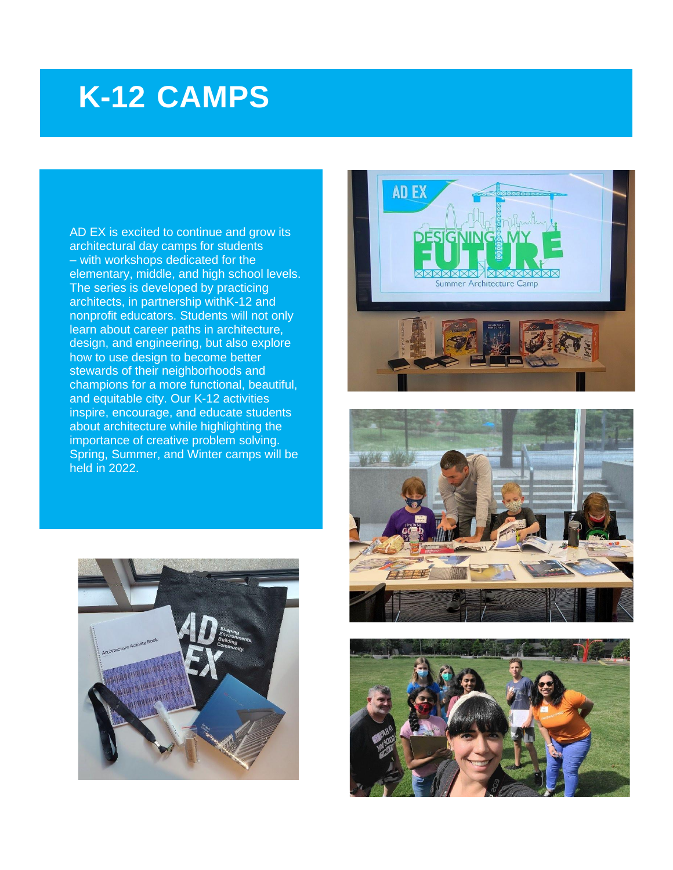# **K-12 CAMPS**

AD EX is excited to continue and grow its architectural day camps for students – with workshops dedicated for the elementary, middle, and high school levels. The series is developed by practicing architects, in partnership withK-12 and nonprofit educators. Students will not only learn about career paths in architecture, design, and engineering, but also explore how to use design to become better stewards of their neighborhoods and champions for a more functional, beautiful, and equitable city. Our K-12 activities inspire, encourage, and educate students about architecture while highlighting the importance of creative problem solving. Spring, Summer, and Winter camps will be held in 2022.